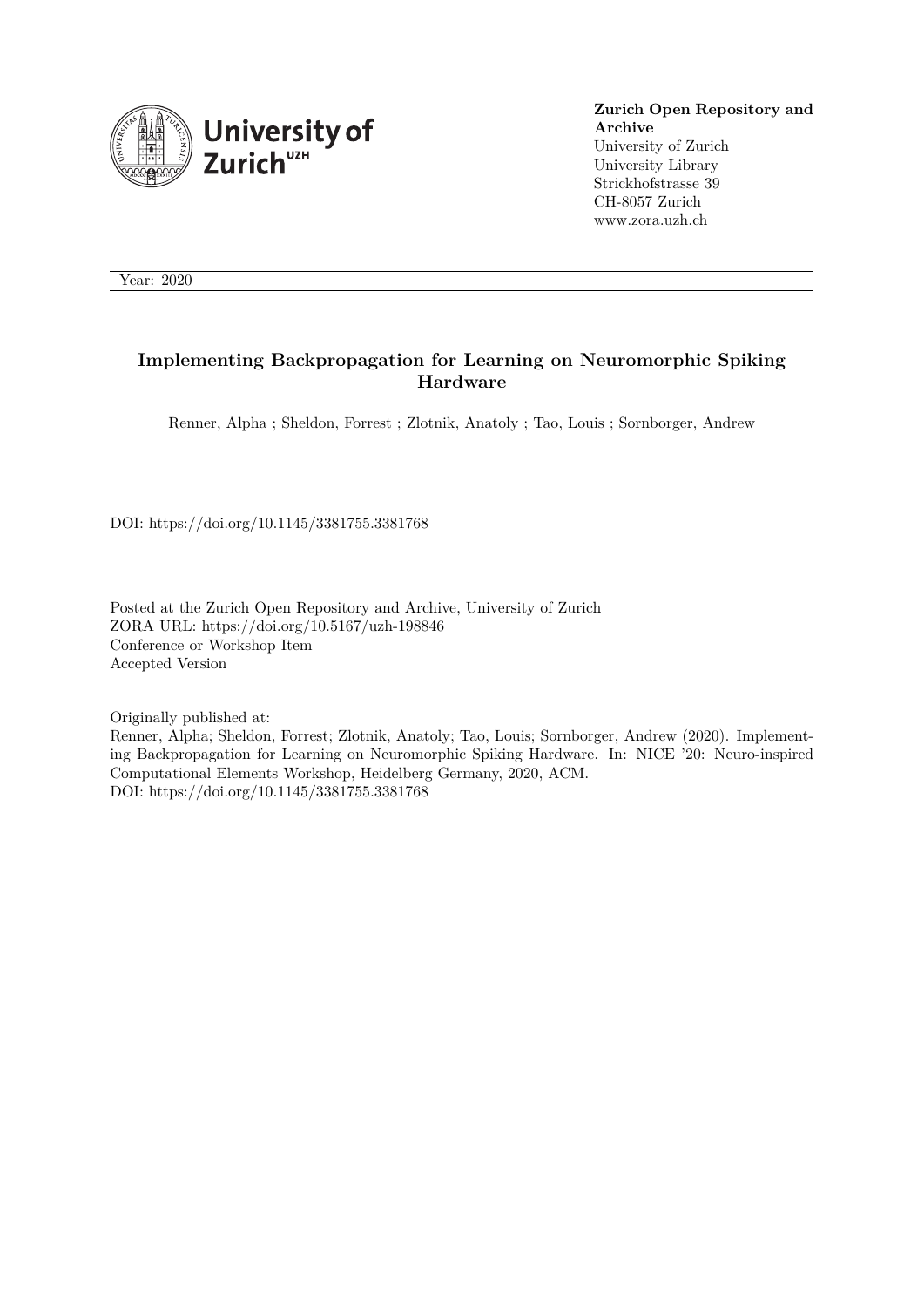

### **Zurich Open Repository and Archive** University of Zurich University Library Strickhofstrasse 39 CH-8057 Zurich www.zora.uzh.ch

Year: 2020

## **Implementing Backpropagation for Learning on Neuromorphic Spiking Hardware**

Renner, Alpha ; Sheldon, Forrest ; Zlotnik, Anatoly ; Tao, Louis ; Sornborger, Andrew

DOI: https://doi.org/10.1145/3381755.3381768

Posted at the Zurich Open Repository and Archive, University of Zurich ZORA URL: https://doi.org/10.5167/uzh-198846 Conference or Workshop Item Accepted Version

Originally published at: Renner, Alpha; Sheldon, Forrest; Zlotnik, Anatoly; Tao, Louis; Sornborger, Andrew (2020). Implementing Backpropagation for Learning on Neuromorphic Spiking Hardware. In: NICE '20: Neuro-inspired Computational Elements Workshop, Heidelberg Germany, 2020, ACM. DOI: https://doi.org/10.1145/3381755.3381768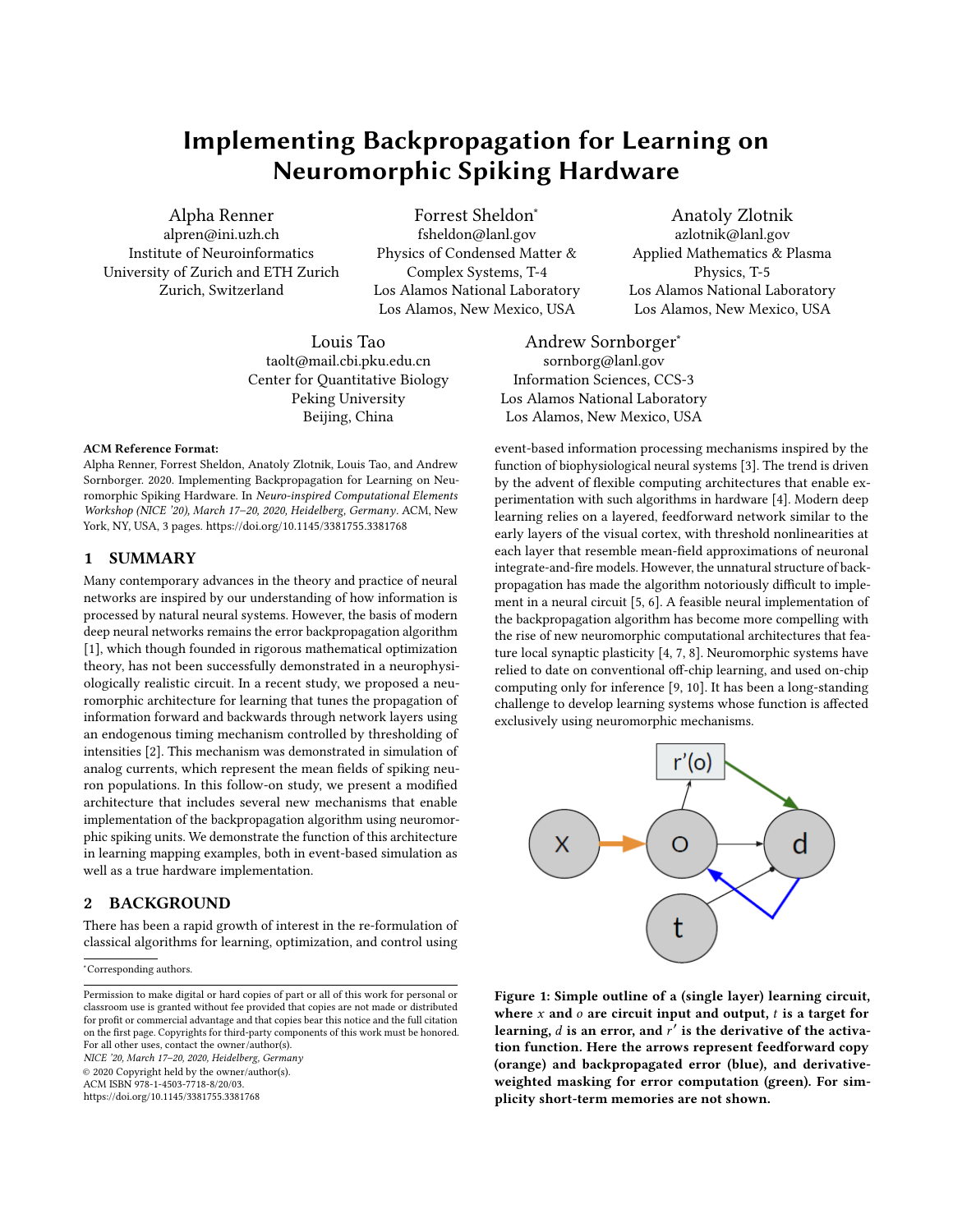# Implementing Backpropagation for Learning on Neuromorphic Spiking Hardware

Alpha Renner alpren@ini.uzh.ch Institute of Neuroinformatics University of Zurich and ETH Zurich Zurich, Switzerland

Forrest Sheldon<sup>∗</sup> fsheldon@lanl.gov Physics of Condensed Matter & Complex Systems, T-4 Los Alamos National Laboratory Los Alamos, New Mexico, USA

Louis Tao taolt@mail.cbi.pku.edu.cn Center for Quantitative Biology Peking University Beijing, China

#### ACM Reference Format:

Alpha Renner, Forrest Sheldon, Anatoly Zlotnik, Louis Tao, and Andrew Sornborger. 2020. Implementing Backpropagation for Learning on Neuromorphic Spiking Hardware. In *Neuro-inspired Computational Elements Workshop (NICE '20), March 17–20, 2020, Heidelberg, Germany.* ACM, New York, NY, USA, 3 pages. https://doi.org/10.1145/3381755.3381768

#### 1 SUMMARY

Many contemporary advances in the theory and practice of neural networks are inspired by our understanding of how information is processed by natural neural systems. However, the basis of modern deep neural networks remains the error backpropagation algorithm [1], which though founded in rigorous mathematical optimization theory, has not been successfully demonstrated in a neurophysiologically realistic circuit. In a recent study, we proposed a neuromorphic architecture for learning that tunes the propagation of information forward and backwards through network layers using an endogenous timing mechanism controlled by thresholding of intensities [2]. This mechanism was demonstrated in simulation of analog currents, which represent the mean fields of spiking neuron populations. In this follow-on study, we present a modified architecture that includes several new mechanisms that enable implementation of the backpropagation algorithm using neuromorphic spiking units. We demonstrate the function of this architecture in learning mapping examples, both in event-based simulation as well as a true hardware implementation.

#### 2 BACKGROUND

There has been a rapid growth of interest in the re-formulation of classical algorithms for learning, optimization, and control using

<sup>∗</sup>Corresponding authors.

*NICE '20, March 17–20, 2020, Heidelberg, Germany*

© 2020 Copyright held by the owner/author(s).

ACM ISBN 978-1-4503-7718-8/20/03.

https://doi.org/10.1145/3381755.3381768

Anatoly Zlotnik azlotnik@lanl.gov Applied Mathematics & Plasma Physics, T-5 Los Alamos National Laboratory Los Alamos, New Mexico, USA

Andrew Sornborger<sup>∗</sup> sornborg@lanl.gov Information Sciences, CCS-3 Los Alamos National Laboratory Los Alamos, New Mexico, USA

event-based information processing mechanisms inspired by the function of biophysiological neural systems [3]. The trend is driven by the advent of flexible computing architectures that enable experimentation with such algorithms in hardware [4]. Modern deep learning relies on a layered, feedforward network similar to the early layers of the visual cortex, with threshold nonlinearities at each layer that resemble mean-field approximations of neuronal integrate-and-fire models. However, the unnatural structure of backpropagation has made the algorithm notoriously difficult to implement in a neural circuit [5, 6]. A feasible neural implementation of the backpropagation algorithm has become more compelling with the rise of new neuromorphic computational architectures that feature local synaptic plasticity [4, 7, 8]. Neuromorphic systems have relied to date on conventional off-chip learning, and used on-chip computing only for inference [9, 10]. It has been a long-standing challenge to develop learning systems whose function is affected exclusively using neuromorphic mechanisms.



Figure 1: Simple outline of a (single layer) learning circuit, where  $x$  and  $\sigma$  are circuit input and output,  $t$  is a target for learning,  $d$  is an error, and  $\overrightarrow{r}$  is the derivative of the activation function. Here the arrows represent feedforward copy (orange) and backpropagated error (blue), and derivativeweighted masking for error computation (green). For simplicity short-term memories are not shown.

Permission to make digital or hard copies of part or all of this work for personal or classroom use is granted without fee provided that copies are not made or distributed for profit or commercial advantage and that copies bear this notice and the full citation on the first page. Copyrights for third-party components of this work must be honored. For all other uses, contact the owner/author(s).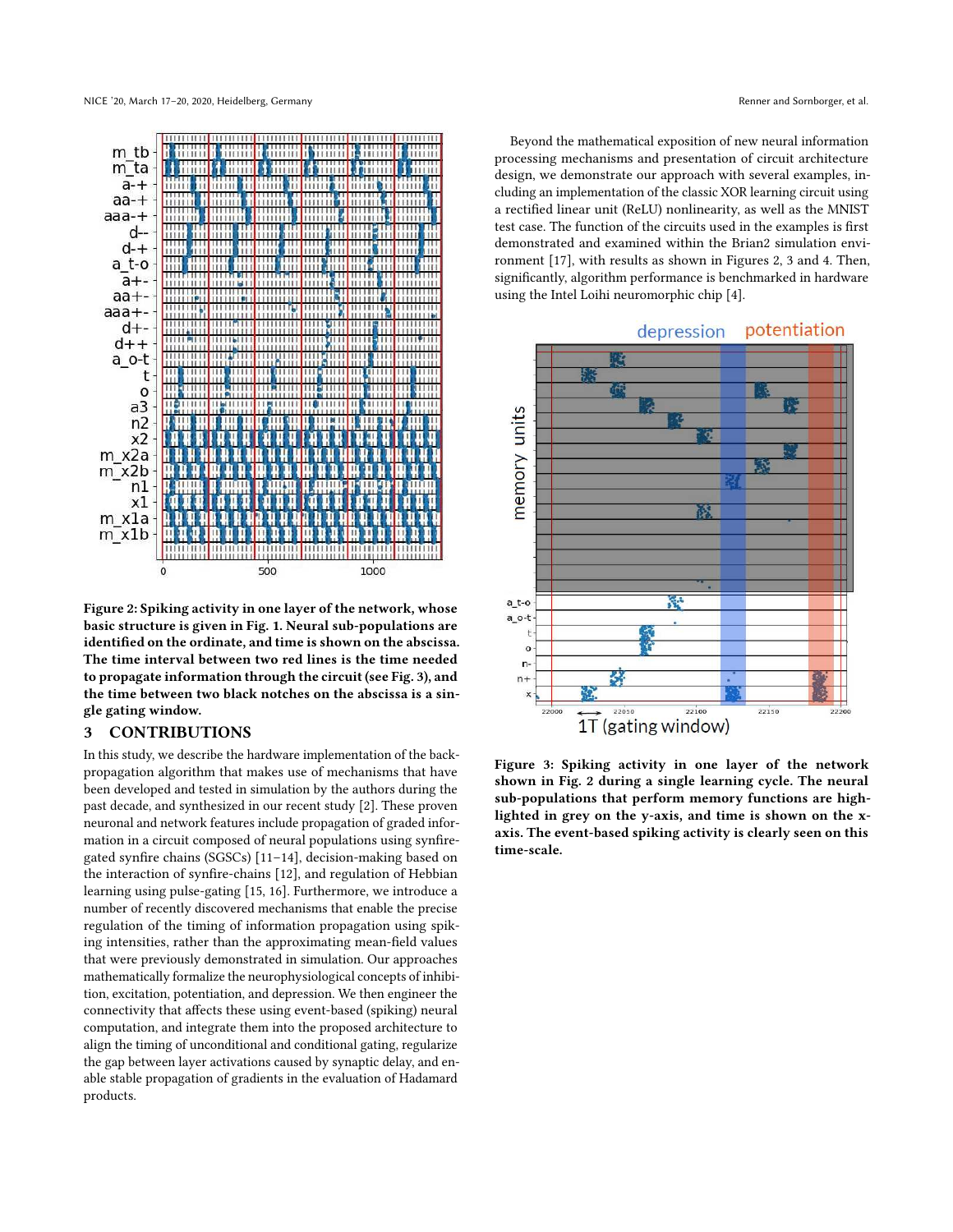NICE '20, March 17–20, 2020, Heidelberg, Germany Renner and Sornborger, et al.



Figure 2: Spiking activity in one layer of the network, whose basic structure is given in Fig. 1. Neural sub-populations are identified on the ordinate, and time is shown on the abscissa. The time interval between two red lines is the time needed to propagate information through the circuit (see Fig. 3), and the time between two black notches on the abscissa is a single gating window.

#### 3 CONTRIBUTIONS

In this study, we describe the hardware implementation of the backpropagation algorithm that makes use of mechanisms that have been developed and tested in simulation by the authors during the past decade, and synthesized in our recent study [2]. These proven neuronal and network features include propagation of graded information in a circuit composed of neural populations using synfiregated synfire chains (SGSCs)  $[11-14]$ , decision-making based on the interaction of synfire-chains [12], and regulation of Hebbian learning using pulse-gating [15, 16]. Furthermore, we introduce a number of recently discovered mechanisms that enable the precise regulation of the timing of information propagation using spiking intensities, rather than the approximating mean-field values that were previously demonstrated in simulation. Our approaches mathematically formalize the neurophysiological concepts of inhibition, excitation, potentiation, and depression. We then engineer the connectivity that affects these using event-based (spiking) neural computation, and integrate them into the proposed architecture to align the timing of unconditional and conditional gating, regularize the gap between layer activations caused by synaptic delay, and enable stable propagation of gradients in the evaluation of Hadamard products.

Beyond the mathematical exposition of new neural information processing mechanisms and presentation of circuit architecture design, we demonstrate our approach with several examples, including an implementation of the classic XOR learning circuit using a rectified linear unit (ReLU) nonlinearity, as well as the MNIST test case. The function of the circuits used in the examples is first demonstrated and examined within the Brian2 simulation environment [17], with results as shown in Figures 2, 3 and 4. Then, significantly, algorithm performance is benchmarked in hardware using the Intel Loihi neuromorphic chip [4].



Figure 3: Spiking activity in one layer of the network shown in Fig. 2 during a single learning cycle. The neural sub-populations that perform memory functions are highlighted in grey on the y-axis, and time is shown on the xaxis. The event-based spiking activity is clearly seen on this time-scale.